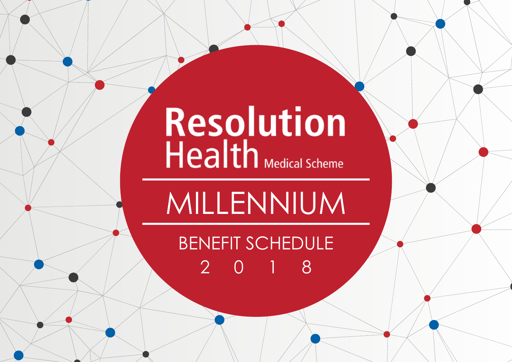# Resolution<br>Health Medical Scheme

MILLENNIUM

BENEFIT SCHEDULE 2018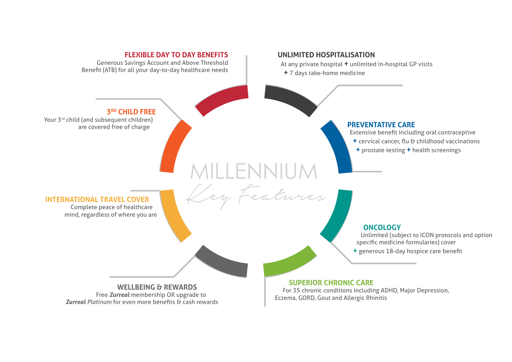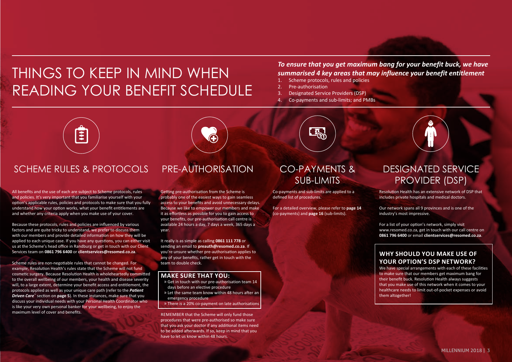# THINGS TO KEEP IN MIND WHEN READING YOUR BENEFIT SCHEDULE

# *To ensure that you get maximum bang for your benefit buck, we have*  **summarised 4 key areas that may influence your benefit entitlement**<br>1. Scheme protocols rules and policies

- Scheme protocols, rules and policies
- 2. Pre-authorisation
- 3. Designated Service Providers (DSP)
- 4. Co-payments and sub-limits; and PMBs



# SCHEME RULES & PROTOCOLS PRE-AUTHORISATION CO-PAYMENTS &

All benefits and the use of each are subject to Scheme protocols, rules and policies. It's very important that you familiarise yourself with your option's applicable rules, policies and protocols to make sure that you fully understand how your option works, what your benefit entitlements are and whether any criteria apply when you make use of your cover.

Because these protocols, rules and policies are influenced by various factors and are quite tricky to understand, we prefer to discuss them with our members and provide detailed information on how they will be applied to each unique case. If you have any questions, you can either visit us at the Scheme's head office in Randburg or get in touch with our Client Services team on **0861 796 6400** or **clientservices@resomed.co.za**.

Scheme rules are non-negotiable rules that cannot be changed. For example, Resolution Health's rules state that the Scheme will not fund cosmetic surgery. Because Resolution Health is wholeheartedly committed to the overall wellbeing of our members, your health and disease severity will, to a large extent, determine your benefit access and entitlement, the protocols applied as well as your unique care path (refer to the *Patient Driven Care*™ section on **page 5**). In these instances, make sure that you discuss your individual needs with your Personal Health Coordinator who is like your very own personal banker for your wellbeing, to enjoy the maximum level of cover and benefits.

Getting pre-authorisation from the Scheme is probably one of the easiest ways to gain seamless access to your benefits and avoid unnecessary delays. Because we like to empower our members and make it as effortless as possible for you to gain access to your benefits, our pre-authorisation call centre is available 24 hours a day, 7 days a week, 365 days a year.

It really is as simple as calling **0861 111 778** or sending an email to **preauth@resomed.co.za**. If you're unsure whether pre-authorisation applies to any of your benefits, rather get in touch with the team to double check.

#### **MAKE SURE THAT YOU:**

- » Get in touch with our pre-authorisation team 14 days before an elective procedure
- » Let the same team know within 48 hours after an emergency procedure
- » There is a 20% co-payment on late authorisations

REMEMBER that the Scheme will only fund those procedures that were pre-authorised so make sure that you ask your doctor if any additional items need to be added afterwards. If so, keep in mind that you have to let us know within 48 hours.

 $E_{00}$ 

# SUB-LIMITS

Co-payments and sub-limits are applied to a defined list of procedures.

For a detailed overview, please refer to **page 14** (co-payments) and **page 16** (sub-limits).

# DESIGNATED SERVICE PROVIDER (DSP)

Resolution Health has an extensive network of DSP that includes private hospitals and medical doctors.

Our network spans all 9 provinces and is one of the industry's most impressive.

For a list of your option's network, simply visit www.resomed.co.za, get in touch with our call centre on **0861 796 6400** or email **clientservices@resomed.co.za**.

### **WHY SHOULD YOU MAKE USE OF YOUR OPTION'S DSP NETWORK?**

We have special arrangements with each of these facilities to make sure that our members get maximum bang for their benefit buck. Resolution Health always suggests that you make use of this network when it comes to your healthcare needs to limit out-of-pocket expenses or avoid them altogether!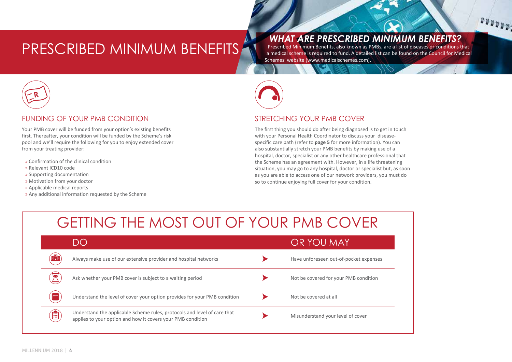# PRESCRIBED MINIMUM BENEFITS

*WHAT ARE PRESCRIBED MINIMUM BENEFITS?* 

Prescribed Minimum Benefits, also known as PMBs, are a list of diseases or conditions that a medical scheme is required to fund. A detailed list can be found on the Council for Medical Schemes' website (www.medicalschemes.com).

 $1000000$ 



### FUNDING OF YOUR PMB CONDITION

Your PMB cover will be funded from your option's existing benefits first. Thereafter, your condition will be funded by the Scheme's risk pool and we'll require the following for you to enjoy extended cover from your treating provider:

- » Confirmation of the clinical condition
- » Relevant ICD10 code
- » Supporting documentation
- » Motivation from your doctor
- » Applicable medical reports
- » Any additional information requested by the Scheme



### STRETCHING YOUR PMB COVER

The first thing you should do after being diagnosed is to get in touch with your Personal Health Coordinator to discuss your diseasespecific care path (refer to **page 5** for more information). You can also substantially stretch your PMB benefits by making use of a hospital, doctor, specialist or any other healthcare professional that the Scheme has an agreement with. However, in a life threatening situation, you may go to any hospital, doctor or specialist but, as soon as you are able to access one of our network providers, you must do so to continue enjoying full cover for your condition.

# GETTING THE MOST OUT OF YOUR PMB COVER

|                | DO                                                                                                                                      | OR YOU MAY                             |
|----------------|-----------------------------------------------------------------------------------------------------------------------------------------|----------------------------------------|
| <b>FRE</b>     | Always make use of our extensive provider and hospital networks                                                                         | Have unforeseen out-of-pocket expenses |
|                | Ask whether your PMB cover is subject to a waiting period                                                                               | Not be covered for your PMB condition  |
| $\mathbb{P}^m$ | Understand the level of cover your option provides for your PMB condition                                                               | Not be covered at all                  |
| Ê              | Understand the applicable Scheme rules, protocols and level of care that<br>applies to your option and how it covers your PMB condition | Misunderstand your level of cover      |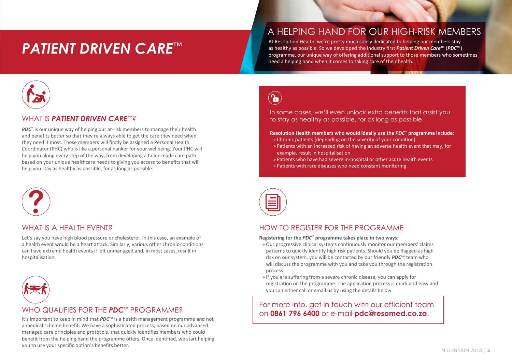# *PATIENT DRIVEN CARE*™

# A HELPING HAND FOR OUR HIGH-RISK MEMBERS

At Resolution Health, we're pretty much solely dedicated to helping our members stay as healthy as possible. So we developed the industry first *Patient Driven Care*™ (*PDC*™) programme, our unique way of offering additional support to those members who sometimes need a helping hand when it comes to taking care of their health.



### WHAT IS *PATIENT DRIVEN CARE*™?

*PDC*<sup>™</sup> is our unique way of helping our at-risk members to manage their health and benefits better so that they're always able to get the care they need when they need it most. These members will firstly be assigned a Personal Health Coordinator (PHC) who is like a personal banker for your wellbeing. Your PHC will help you along every step of the way, from developing a tailor-made care path based on your unique healthcare needs to giving you access to benefits that will help you stay as healthy as possible, for as long as possible.



### WHAT IS A HFAITH FVFNT?

Let's say you have high blood pressure or cholesterol. In this case, an example of a health event would be a heart attack. Similarly, various other chronic conditions can have extreme health events if left unmanaged and, in most cases, result in hospitalisation.



### WHO QUALIFIES FOR THE *PDC*™ PROGRAMME?

a medical scheme benefit. We have a sophisticated process, based on our advanced managed care principles and protocols, that quickly identifies members who could benefit from the helping hand the programme offers. Once identified, we start helping you to use your specific option's benefits better.

 $\left(\textcolor{blue}{\bullet}\right)$ 

In some cases, we'll even unlock extra benefits that assist you to stay as healthy as possible, for as long as possible.

#### **Resolution Health members who would ideally use the** *PDC***™ programme include:**

- » Chronic patients (depending on the severity of your condition)
- » Patients with an increased risk of having an adverse health event that may, for example, result in hospitalisation
- » Patients who have had severe in-hospital or other acute health events
- » Patients with rare diseases who need constant monitoring



### HOW TO REGISTER FOR THE PROGRAMME

**Registering for the** *PDC***™ programme takes place in two ways:**

- » Our progressive clinical systems continuously monitor our members' claims patterns to quickly identify high risk patients. Should you be flagged as high risk on our system, you will be contacted by our friendly *PDC*™ team who will discuss the programme with you and take you through the registration process.
- » If you are suffering from a severe chronic disease, you can apply for registration on the programme. The application process is quick and easy and you can either call or email us by using the details below.

For more info, get in touch with our efficient team ON **ON OUR SECONDER THE RUCH TROUS RAIVIIVIES**<br>It's important to keep in mind that *PDC*™ is a health management programme and not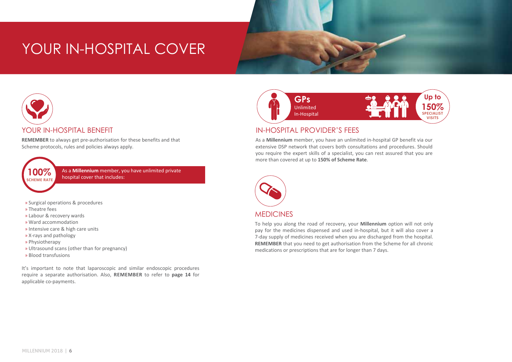# YOUR IN-HOSPITAL COVER



### YOUR IN-HOSPITAL BENEFIT

**REMEMBER** to always get pre-authorisation for these benefits and that Scheme protocols, rules and policies always apply.



As a **Millennium** member, you have unlimited private **100%** As a **Millennium** member, ye hospital cover that includes:

- » Surgical operations & procedures
- » Theatre fees
- » Labour & recovery wards
- » Ward accommodation
- » Intensive care & high care units
- » X-rays and pathology
- » Physiotherapy
- » Ultrasound scans (other than for pregnancy)
- » Blood transfusions

It's important to note that laparoscopic and similar endoscopic procedures require a separate authorisation. Also, **REMEMBER** to refer to **page 14** for applicable co-payments.



# IN-HOSPITAL PROVIDER'S FEES

As a **Millennium** member, you have an unlimited in-hospital GP benefit via our extensive DSP network that covers both consultations and procedures. Should you require the expert skills of a specialist, you can rest assured that you are more than covered at up to **150% of Scheme Rate**.



# **MEDICINES**

To help you along the road of recovery, your **Millennium** option will not only pay for the medicines dispensed and used in-hospital, but it will also cover a 7-day supply of medicines received when you are discharged from the hospital. **REMEMBER** that you need to get authorisation from the Scheme for all chronic medications or prescriptions that are for longer than 7 days.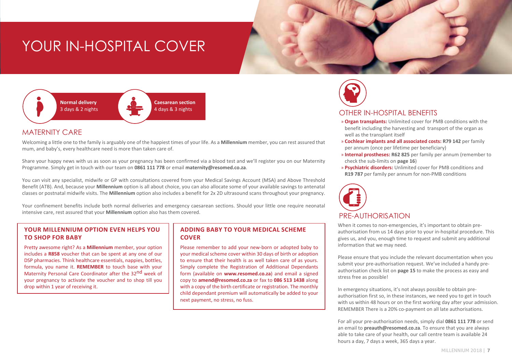# YOUR IN-HOSPITAL COVER



### MATERNITY CARE

Welcoming a little one to the family is arguably one of the happiest times of your life. As a **Millennium** member, you can rest assured that mum, and baby's, every healthcare need is more than taken care of.

Share your happy news with us as soon as your pregnancy has been confirmed via a blood test and we'll register you on our Maternity Programme. Simply get in touch with our team on **0861 111 778** or email **maternity@resomed.co.za**.

You can visit any specialist, midwife or GP with consultations covered from your Medical Savings Account (MSA) and Above Threshold Benefit (ATB). And, because your **Millennium** option is all about choice, you can also allocate some of your available savings to antenatal classes or postnatal midwife visits. The **Millennium** option also includes a benefit for 2x 2D ultrasound scans throughout your pregnancy.

Your confinement benefits include both normal deliveries and emergency caesarean sections. Should your little one require neonatal intensive care, rest assured that your **Millennium** option also has them covered.

### **YOUR MILLENNIUM OPTION EVEN HELPS YOU TO SHOP FOR BABY**

Pretty awesome right? As a **Millennium** member, your option includes a **R858** voucher that can be spent at any one of our DSP pharmacies. Think healthcare essentials, nappies, bottles, formula, you name it. **REMEMBER** to touch base with your Maternity Personal Care Coordinator after the 32<sup>nd</sup> week of your pregnancy to activate the voucher and to shop till you drop within 1 year of receiving it.

### **ADDING BABY TO YOUR MEDICAL SCHEME COVER**

Please remember to add your new-born or adopted baby to your medical scheme cover within 30 days of birth or adoption to ensure that their health is as well taken care of as yours. Simply complete the Registration of Additional Dependants form (available on **www.resomed.co.za**) and email a signed copy to **amend@resomed.co.za** or fax to **086 513 1438** along with a copy of the birth certificate or registration. The monthly child dependant premium will automatically be added to your next payment, no stress, no fuss.



### OTHER IN-HOSPITAL BENEFITS

- » **Organ transplants:** Unlimited cover for PMB conditions with the benefit including the harvesting and transport of the organ as well as the transplant itself
- » **Cochlear implants and all associated costs: R79 142** per family per annum (once per lifetime per beneficiary)
- » **Internal prostheses: R62 825** per family per annum (remember to check the sub-limits on **page 16**)
- » **Psychiatric disorders:** Unlimited cover for PMB conditions and **R19 787** per family per annum for non-PMB conditions



When it comes to non-emergencies, it's important to obtain preauthorisation from us 14 days prior to your in-hospital procedure. This gives us, and you, enough time to request and submit any additional information that we may need.

Please ensure that you include the relevant documentation when you submit your pre-authorisation request. We've included a handy preauthorisation check list on **page 15** to make the process as easy and stress free as possible!

In emergency situations, it's not always possible to obtain preauthorisation first so, in these instances, we need you to get in touch with us within 48 hours or on the first working day after your admission. REMEMBER There is a 20% co-payment on all late authorisations.

For all your pre-authorisation needs, simply dial **0861 111 778** or send an email to **preauth@resomed.co.za**. To ensure that you are always able to take care of your health, our call centre team is available 24 hours a day, 7 days a week, 365 days a year.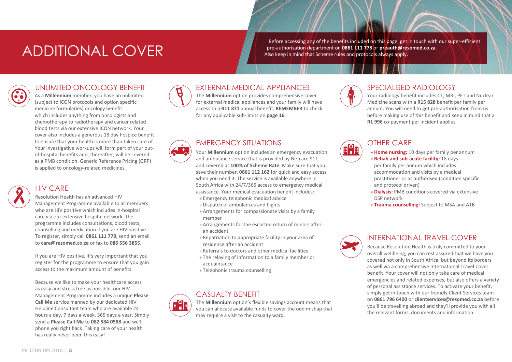# ADDITIONAL COVER

Before accessing any of the benefits included on this page, get in touch with our super-efficient pre-authorisation department on **0861 111 778** or **preauth@resomed.co.za**. Also keep in mind that Scheme rules and protocols always apply.

# UNLIMITED ONCOLOGY BENEFIT

As a **Millennium** member, you have an unlimited (subject to ICON protocols and option specific medicine formularies) oncology benefit which includes anything from oncologists and chemotherapy to radiotherapy and cancer related blood tests via our extensive ICON network. Your cover also includes a generous 18 day hospice benefit to ensure that your health is more than taken care of. Your investigative workups will form part of your outof-hospital benefits and, thereafter, will be covered as a PMB condition. Generic Reference Pricing (GRP) is applied to oncology-related medicines.



# HIV CARE

Resolution Health has an advanced HIV Management Programme available to all members who are HIV positive which includes in-hospital care via our extensive hospital network. The programme includes consultations, blood tests, counselling and medication if you are HIV positive. To register, simply call **0861 111 778**, send an email to **care@resomed.co.za** or fax to **086 556 3855**.

If you are HIV positive, it's very important that you register for the programme to ensure that you gain access to the maximum amount of benefits.

Because we like to make your healthcare access as easy and stress free as possible, our HIV Management Programme includes a unique **Please Call Me** service manned by our dedicated HIV Helpline Consultant team who are available 24 hours a day, 7 days a week, 365 days a year. Simply send a **Please Call Me** to **082 584 0588** and we'll phone you right back. Taking care of your health has really never been this easy!



# EXTERNAL MEDICAL APPLIANCES

The **Millennium** option provides comprehensive cover for external medical appliances and your family will have access to a **R11 871** annual benefit. **REMEMBER** to check for any applicable sub-limits on **page 16**.

# EMERGENCY SITUATIONS

Your **Millennium** option includes an emergency evacuation and ambulance service that is provided by Netcare 911 and covered at **100% of Scheme Rate**. Make sure that you save their number, **0861 112 162** for quick and easy access when you need it. The service is available anywhere in South Africa with 24/7/365 access to emergency medical assistance. Your medical evacuation benefit includes:

- » Emergency telephonic medical advice
- » Dispatch of ambulances and flights
- » Arrangements for compassionate visits by a family member
- » Arrangements for the escorted return of minors after an accident
- » Repatriation to appropriate facility in your area of residence after an accident
- » Referrals to doctors and other medical facilities
- » The relaying of information to a family member or acquaintance
- » Telephonic trauma counselling

# CASUALTY BENEFIT

The **Millennium** option's flexible savings account means that you can allocate available funds to cover the odd mishap that may require a visit to the casualty ward.



# SPECIALISED RADIOLOGY

Your radiology benefit includes CT, MRI, PET and Nuclear Medicine scans with a **R15 828** benefit per family per annum. You will need to get pre-authorisation from us before making use of this benefit and keep in mind that a **R1 996** co-payment per incident applies.



# OTHER CARE

- » **Home nursing:** 10 days per family per annum
- » **Rehab and sub-acute facility:** 18 days per family per annum which includes accommodation and visits by a medical practitioner or as authorised (condition specific and protocol driven)
- » **Dialysis:** PMB conditions covered via extensive DSP network
- » **Trauma counselling:** Subject to MSA and ATB



### INTERNATIONAL TRAVEL COVER

Because Resolution Health is truly committed to your overall wellbeing, you can rest assured that we have you covered not only in South Africa, but beyond its borders as well via a comprehensive International Travel Cover benefit. Your cover will not only take care of medical emergencies and related expenses, but also offers a variety of personal assistance services. To activate your benefit, simply get in touch with our friendly Client Services team on **0861 796 6400** or **clientservices@resomed.co.za** before you'll be travelling abroad and they'll provide you with all the relevant forms, documents and information.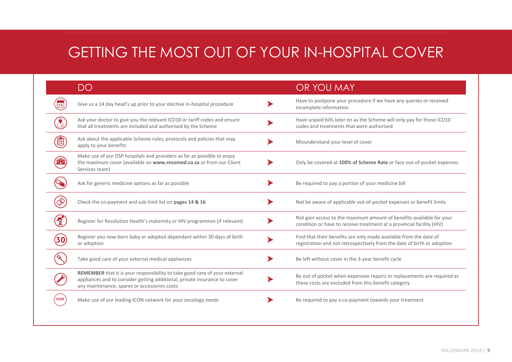# GETTING THE MOST OUT OF YOUR IN-HOSPITAL COVER

|      | DO                                                                                                                                                                                                      | OR YOU MAY                                                                                                                                    |
|------|---------------------------------------------------------------------------------------------------------------------------------------------------------------------------------------------------------|-----------------------------------------------------------------------------------------------------------------------------------------------|
|      | Give us a 14 day head's up prior to your elective in-hospital procedure                                                                                                                                 | Have to postpone your procedure if we have any queries or received<br>incomplete information                                                  |
|      | Ask your doctor to give you the relevant ICD10 or tariff codes and ensure<br>that all treatments are included and authorised by the Scheme                                                              | Have unpaid bills later on as the Scheme will only pay for those ICD10<br>codes and treatments that were authorised                           |
|      | Ask about the applicable Scheme rules, protocols and policies that may<br>apply to your benefits                                                                                                        | Misunderstand your level of cover                                                                                                             |
|      | Make use of our DSP hospitals and providers as far as possible to enjoy<br>the maximum cover (available on www.resomed.co.za or from our Client<br>Services team)                                       | Only be covered at 100% of Scheme Rate or face out-of-pocket expenses                                                                         |
|      | Ask for generic medicine options as far as possible                                                                                                                                                     | Be required to pay a portion of your medicine bill                                                                                            |
|      | Check the co-payment and sub-limit list on pages 14 & 16                                                                                                                                                | Not be aware of applicable out-of-pocket expenses or benefit limits                                                                           |
|      | Register for Resolution Health's maternity or HIV programmes (if relevant)                                                                                                                              | Not gain access to the maximum amount of benefits available for your<br>condition or have to receive treatment at a provincial facility (HIV) |
|      | Register you new-born baby or adopted dependant within 30 days of birth<br>or adoption                                                                                                                  | Find that their benefits are only made available from the date of<br>registration and not retrospectively from the date of birth or adoption  |
|      | Take good care of your external medical appliances                                                                                                                                                      | Be left without cover in the 3-year benefit cycle                                                                                             |
|      | REMEMBER that it is your responsibility to take good care of your external<br>appliances and to consider getting additional, private insurance to cover<br>any maintenance, spares or accessories costs | Be out of pocket when expensive repairs or replacements are required as<br>these costs are excluded from this benefit category                |
| ICON | Make use of our leading ICON network for your oncology needs                                                                                                                                            | Be required to pay a co-payment towards your treatment                                                                                        |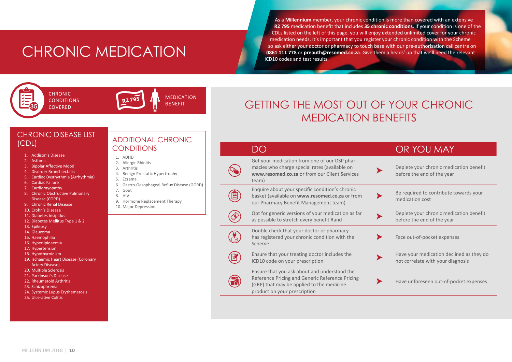# CHRONIC MEDICATION

As a **Millennium** member, your chronic condition is more than covered with an extensive **R2 795** medication benefit that includes **35 chronic conditions**. If your condition is one of the CDLs listed on the left of this page, you will enjoy extended unlimited cover for your chronic medication needs. It's important that you register your chronic condition with the Scheme so ask either your doctor or pharmacy to touch base with our pre-authorisation call centre on **0861 111 778** or **preauth@resomed.co.za**. Give them a heads' up that we'll need the relevant ICD10 codes and test results.



**CHRONIC** CONDITIONS COVERED



MEDICATION BENEFIT

# GETTING THE MOST OUT OF YOUR CHRONIC MEDICATION BENEFITS

DO **OR YOU MAY** 

Get your medication from one of our DSP phar-

product on your prescription

# CHRONIC DISEASE LIST

- 1. Addison's Disease
- 2. Asthma
- 3. Bipolar Affective Mood
- 4. Disorder Bronchiectasis
- 5. Cardiac Dysrhythmia (Arrhythmia)
- 6. Cardiac Failure
- 7. Cardiomyopathy
- 8. Chronic Obstructive Pulmonary Disease (COPD)
- 9. Chronic Renal Disease
- 10. Crohn's Disease
- 11. Diabetes Insipidus
- 12. Diabetes Mellitus Type 1 & 2
- 13. Epilepsy
- 14. Glaucoma
- 15. Haemophilia
- 16. Hyperlipidaemia
- 17. Hypertension
- 18. Hypothyroidism
- 19. Ischaemic Heart Disease (Coronary Artery Disease)
- 20. Multiple Sclerosis
- 21. Parkinson's Disease
- 22. Rheumatoid Arthritis
- 23. Schizophrenia
- 24. Systemic Lupus Erythematosis
- 25. Ulcerative Colitis

# (CDL) ADDITIONAL CHRONIC **CONDITIONS**

- 1. ADHD
- 2. Allergic Rhinitis
- 3. Arthritis
- 4. Benign Prostatic Hypertrophy
- 5. Eczema
- 6. Gastro-Oesophageal Reflux Disease (GORD)
- 7. Gout
- 8. HIV
	- 9. Hormone Replacement The
	- 10. Major Depression

| herapy | basket (availa<br>our Pharmac  |
|--------|--------------------------------|
|        | Opt for gene<br>as possible to |
|        | Double check                   |

 $\left(\begin{matrix} \blacksquare\ \blacksquare\ \blacksquare\end{matrix}\right)$ 

| macies who charge special rates (available on<br>www.resomed.co.za or from our Client Services<br>team)                                      | Deplete your chronic medication benefit<br>before the end of the year         |
|----------------------------------------------------------------------------------------------------------------------------------------------|-------------------------------------------------------------------------------|
| Enquire about your specific condition's chronic<br>basket (available on www.resomed.co.za or from<br>our Pharmacy Benefit Management team)   | Be required to contribute towards your<br>medication cost                     |
| Opt for generic versions of your medication as far<br>as possible to stretch every benefit Rand                                              | Deplete your chronic medication benefit<br>before the end of the year         |
| Double check that your doctor or pharmacy<br>has registered your chronic condition with the<br>Scheme                                        | Face out-of-pocket expenses                                                   |
| Ensure that your treating doctor includes the<br>ICD10 code on your prescription                                                             | Have your medication declined as they do<br>not correlate with your diagnosis |
| Ensure that you ask about and understand the<br>Reference Pricing and Generic Reference Pricing<br>(GRP) that may be applied to the medicine | Have unforeseen out-of-pocket expenses                                        |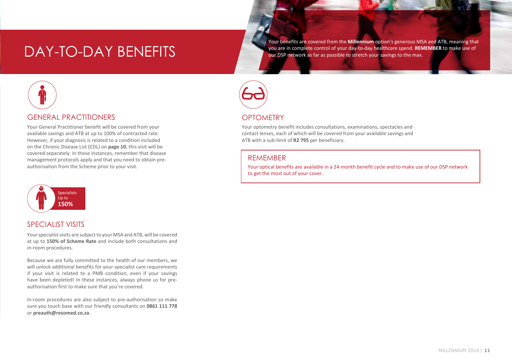Your benefits are covered from the **Millennium** option's generous MSA and ATB, meaning that DAY-TO-DAY BENEFITS and the spend. **REMEFITS** and the spend of your are in complete control of your day-to-day healthcare spend. REN<br>The spend of Day is a spending to the max.



Your General Practitioner benefit will be covered from your available savings and ATB at up to 100% of contracted rate. However, if your diagnosis is related to a condition included on the Chronic Disease List (CDL) on **page 10**, this visit will be covered separately. In these instances, remember that disease management protocols apply and that you need to obtain preauthorisation from the Scheme prior to your visit.



### SPECIALIST VISITS

Your specialist visits are subject to your MSA and ATB, will be covered at up to **150% of Scheme Rate** and include both consultations and in-room procedures.

Because we are fully committed to the health of our members, we will unlock additional benefits for your specialist care requirements if your visit is related to a PMB condition, even if your savings have been depleted! In these instances, always phone us for preauthorisation first to make sure that you're covered.

In-room procedures are also subject to pre-authorisation so make sure you touch base with our friendly consultants on **0861 111 778**  or **preauth@resomed.co.za**.



# **OPTOMETRY**

Your optometry benefit includes consultations, examinations, spectacles and contact lenses, each of which will be covered from your available savings and ATB with a sub-limit of **R2 795** per beneficiary.

### **REMEMBER**

Your optical benefits are available in a 24-month benefit cycle and to make use of our DSP network to get the most out of your cover.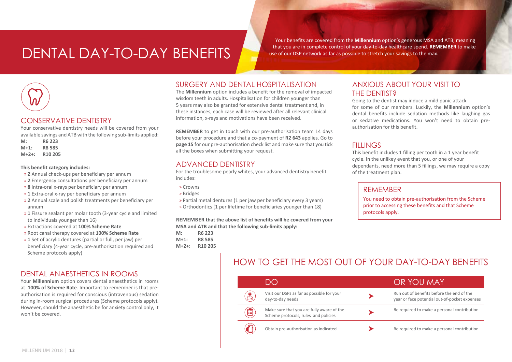# DENTAL DAY-TO-DAY BENEFITS

Your benefits are covered from the **Millennium** option's generous MSA and ATB, meaning that you are in complete control of your day-to-day healthcare spend. **REMEMBER** to make use of our DSP network as far as possible to stretch your savings to the max.



### CONSERVATIVE DENTISTRY

Your conservative dentistry needs will be covered from your available savings and ATB with the following sub-limits applied:

**M: R6 223 M+1: R8 585 M+2+: R10 205**

#### **This benefit category includes:**

- » **2** Annual check-ups per beneficiary per annum
- » **2** Emergency consultations per beneficiary per annum
- » **8** Intra-oral x-rays per beneficiary per annum
- » **1** Extra-oral x-ray per beneficiary per annum
- » **2** Annual scale and polish treatments per beneficiary per annum
- » **1** Fissure sealant per molar tooth (3-year cycle and limited to individuals younger than 16)
- » Extractions covered at **100% Scheme Rate**
- » Root canal therapy covered at **100% Scheme Rate**
- » **1** Set of acrylic dentures (partial or full, per jaw) per beneficiary (4-year cycle, pre-authorisation required and Scheme protocols apply)

### DENTAL ANAESTHETICS IN ROOMS

Your **Millennium** option covers dental anaesthetics in rooms at **100% of Scheme Rate**. Important to remember is that preauthorisation is required for conscious (intravenous) sedation during in-room surgical procedures (Scheme protocols apply). However, should the anaesthetic be for anxiety control only, it won't be covered.

# SURGERY AND DENTAL HOSPITALISATION

The **Millennium** option includes a benefit for the removal of impacted wisdom teeth in adults. Hospitalisation for children younger than 5 years may also be granted for extensive dental treatment and, in these instances, each case will be reviewed after all relevant clinical information, x-rays and motivations have been received.

**REMEMBER** to get in touch with our pre-authorisation team 14 days before your procedure and that a co-payment of **R2 643** applies. Go to **page 15** for our pre-authorisation check list and make sure that you tick all the boxes when submitting your request.

### ADVANCED DENTISTRY

For the troublesome pearly whites, your advanced dentistry benefit includes:

- » Crowns
- » Bridges
- » Partial metal dentures (1 per jaw per beneficiary every 3 years)
- » Orthodontics (1 per lifetime for beneficiaries younger than 18)

**REMEMBER that the above list of benefits will be covered from your MSA and ATB and that the following sub-limits apply:**

- **M: R6 223 M+1: R8 585**
- **M+2+: R10 205**

ANXIOUS ABOUT YOUR VISIT TO THE DENTIST?

Going to the dentist may induce a mild panic attack for some of our members. Luckily, the **Millennium** option's dental benefits include sedation methods like laughing gas or sedative medications. You won't need to obtain preauthorisation for this benefit.

# **FILLINGS**

This benefit includes 1 filling per tooth in a 1 year benefit cycle. In the unlikey event that you, or one of your dependants, need more than 5 fillings, we may require a copy of the treatment plan.

### REMEMBER

You need to obtain pre-authorisation from the Scheme prior to accessing these benefits and that Scheme protocols apply.

# HOW TO GET THE MOST OUT OF YOUR DAY-TO-DAY BENEFITS

|   | $\cup$ $\cup$                                                                     | OR YOU MAY                                                                                 |
|---|-----------------------------------------------------------------------------------|--------------------------------------------------------------------------------------------|
|   | Visit our DSPs as far as possible for your<br>day-to-day needs                    | Run out of benefits before the end of the<br>year or face potential out-of-pocket expenses |
| ê | Make sure that you are fully aware of the<br>Scheme protocols, rules and policies | Be required to make a personal contribution                                                |
|   | Obtain pre-authorisation as indicated                                             | Be required to make a personal contribution                                                |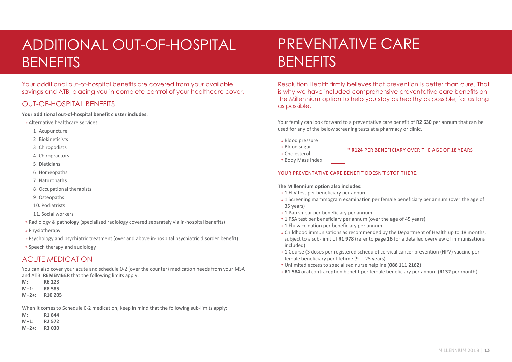# ADDITIONAL OUT-OF-HOSPITAL **BENEFITS**

Your additional out-of-hospital benefits are covered from your available savings and ATB, placing you in complete control of your healthcare cover.

# OUT-OF-HOSPITAL BENEFITS

**Your additional out-of-hospital benefit cluster includes:**

- » Alternative healthcare services:
	- 1. Acupuncture
	- 2. Biokineticists
	- 3. Chiropodists
	- 4. Chiropractors
	- 5. Dieticians
	- 6. Homeopaths
	- 7. Naturopaths
	- 8. Occupational therapists
	- 9. Osteopaths
	- 10. Podiatrists
	- 11. Social workers
- » Radiology & pathology (specialised radiology covered separately via in-hospital benefits)
- » Physiotherapy
- » Psychology and psychiatric treatment (over and above in-hospital psychiatric disorder benefit)
- » Speech therapy and audiology

# ACUTE MEDICATION

You can also cover your acute and schedule 0-2 (over the counter) medication needs from your MSA and ATB. **REMEMBER** that the following limits apply:

**M: R6 223 M+1: R8 585**

**M+2+: R10 205**

When it comes to Schedule 0-2 medication, keep in mind that the following sub-limits apply:

| M:       | R1844              |
|----------|--------------------|
| $M+1:$   | R <sub>2</sub> 572 |
| $M+2+$ : | <b>R3030</b>       |

# PREVENTATIVE CARE **BENEFITS**

Resolution Health firmly believes that prevention is better than cure. That is why we have included comprehensive preventative care benefits on the Millennium option to help you stay as healthy as possible, for as long as possible.

Your family can look forward to a preventative care benefit of **R2 630** per annum that can be used for any of the below screening tests at a pharmacy or clinic.

- » Blood pressure
- » Blood sugar
- » Cholesterol
- » Body Mass Index

### \* **R124** PER BENEFICIARY OVER THE AGE OF 18 YEARS

### YOUR PREVENTATIVE CARE BENEFIT DOESN'T STOP THERE.

#### **The Millennium option also includes:**

- » 1 HIV test per beneficiary per annum
- » 1 Screening mammogram examination per female beneficiary per annum (over the age of 35 years)
- » 1 Pap smear per beneficiary per annum
- » 1 PSA test per beneficiary per annum (over the age of 45 years)
- » 1 Flu vaccination per beneficiary per annum
- » Childhood immunisations as recommended by the Department of Health up to 18 months, subject to a sub-limit of **R1 978** (refer to **page 16** for a detailed overview of immunisations included)
- » 1 Course (3 doses per registered schedule) cervical cancer prevention (HPV) vaccine per female beneficiary per lifetime (9 – 25 years)
- » Unlimited access to specialised nurse helpline (**086 111 2162**)
- » **R1 584** oral contraception benefit per female beneficiary per annum (**R132** per month)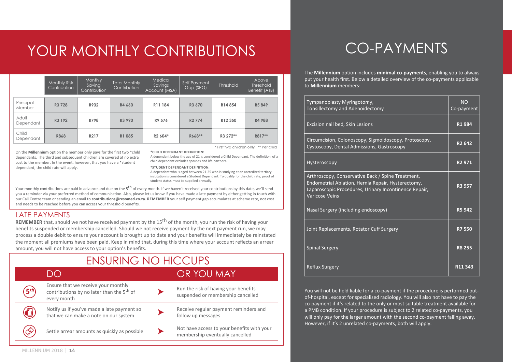# YOUR MONTHLY CONTRIBUTIONS

|                     | Monthly Risk<br>Contribution | <b>Monthly</b><br>Saving<br><b>Contribution</b> | Total Monthly<br>Contribution | Medical,<br>Savings<br>Account (MSA) | Self Payment<br>Gap (SPG) | <b>Threshold</b> | Above<br><b>Threshold</b><br>Benefit (ATB) |
|---------------------|------------------------------|-------------------------------------------------|-------------------------------|--------------------------------------|---------------------------|------------------|--------------------------------------------|
| Principal<br>Member | R3 728                       | R932                                            | R4 660                        | R11 184                              | R <sub>3</sub> 670        | R14854           | R5 849                                     |
| Adult<br>Dependant  | R3 192                       | R798                                            | R3 990                        | R9 576                               | R <sub>2</sub> 774        | R12 350          | R4 988                                     |
| Child<br>Dependant  | <b>R868</b>                  | R217                                            | R1 085                        | R <sub>2</sub> 604*                  | R668**                    | R3 272**         | R817**                                     |

\* First two children only \*\* Per child

On the **Millennium** option the member only pays for the first two \*child dependants. The third and subsequent children are covered at no extra cost to the member. In the event, however, that you have a \*student dependant, the child rate will apply.

A dependant below the age of 21 is considered a Child Dependant. The definition of a child dependant excludes spouses and life partners.

#### **\*STUDENT DEPENDANT DEFINITION:**

**\*CHILD DEPENDANT DEFINITION:**

A dependant who is aged between 21-25 who is studying at an accredited tertiary institution is considered a Student Dependant. To qualify for the child rate, proof of student status must be supplied annually.

Your monthly contributions are paid in advance and due on the 5<sup>th</sup> of every month. If we haven't received your contributions by this date, we'll send you a reminder via your preferred method of communication. Also, please let us know if you have made a late payment by either getting in touch with our Call Centre team or sending an email to **contributions@resomed.co.za**. **REMEMBER** your self payment gap accumulates at scheme rate, not cost and needs to be reached before you can access your threshold benefits.

### LATE PAYMENTS

**REMEMBER** that, should we not have received payment by the 15<sup>th</sup> of the month, you run the risk of having your benefits suspended or membership cancelled. Should we not receive payment by the next payment run, we may process a double debit to ensure your account is brought up to date and your benefits will immediately be reinstated the moment all premiums have been paid. Keep in mind that, during this time where your account reflects an arrear amount, you will not have access to your option's benefits.

| <b>ENSURING NO HICCUPS</b> |                                                                                                             |  |                                                                               |  |
|----------------------------|-------------------------------------------------------------------------------------------------------------|--|-------------------------------------------------------------------------------|--|
|                            | )( )                                                                                                        |  | OR YOU MAY                                                                    |  |
|                            | Ensure that we receive your monthly<br>contributions by no later than the 5 <sup>th</sup> of<br>every month |  | Run the risk of having your benefits<br>suspended or membership cancelled     |  |
| r el                       | Notify us if you've made a late payment so<br>that we can make a note on our system                         |  | Receive regular payment reminders and<br>follow up messages                   |  |
|                            | Settle arrear amounts as quickly as possible                                                                |  | Not have access to your benefits with your<br>membership eventually cancelled |  |

# CO-PAYMENTS

The **Millennium** option includes **minimal co-payments**, enabling you to always put your health first. Below a detailed overview of the co-payments applicable to **Millennium** members:

| Tympanoplasty Myringotomy,<br>Tonsillectomy and Adenoidectomy                                                                                                                             | <b>NO</b><br>Co-payment |
|-------------------------------------------------------------------------------------------------------------------------------------------------------------------------------------------|-------------------------|
| Excision nail bed, Skin Lesions                                                                                                                                                           | R1984                   |
| Circumcision, Colonoscopy, Sigmoidoscopy, Protoscopy,<br>Cystoscopy, Dental Admissions, Gastroscopy                                                                                       | R <sub>2</sub> 642      |
| Hysteroscopy                                                                                                                                                                              | R <sub>2</sub> 971      |
| Arthroscopy, Conservative Back / Spine Treatment,<br>Endometrial Ablation, Hernia Repair, Hysterectomy,<br>Laparoscopic Procedures, Urinary Incontinence Repair,<br><b>Varicose Veins</b> | R3 957                  |
| Nasal Surgery (including endoscopy)                                                                                                                                                       | <b>R5942</b>            |
| Joint Replacements, Rotator Cuff Surgery                                                                                                                                                  | <b>R7550</b>            |
| <b>Spinal Surgery</b>                                                                                                                                                                     | <b>R8 255</b>           |
| <b>Reflux Surgery</b>                                                                                                                                                                     | R <sub>11</sub> 343     |

You will not be held liable for a co-payment if the procedure is performed outof-hospital, except for specialised radiology. You will also not have to pay the co-payment if it's related to the only or most suitable treatment available for a PMB condition. If your procedure is subject to 2 related co-payments, you will only pay for the larger amount with the second co-payment falling away. However, if it's 2 unrelated co-payments, both will apply.

MILLENNIUM 2018 | **14**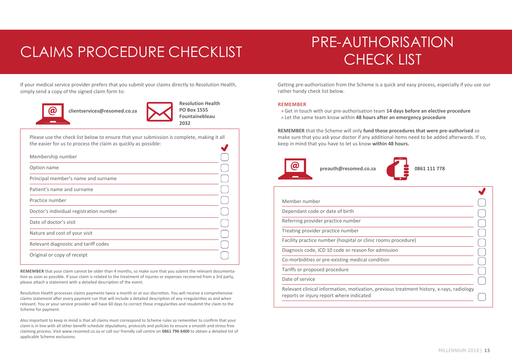# CLAIMS PROCEDURE CHECKLIST THE MOTHOMS

# PRE-AUTHORISATION

If your medical service provider prefers that you submit your claims directly to Resolution Health, simply send a copy of the signed claim form to:



 **clientservices@resomed.co.za** 



Please use the check list below to ensure that your submission is complete, making it all the easier for us to process the claim as quickly as possible:

| Membership number                       |  |
|-----------------------------------------|--|
| Option name                             |  |
| Principal member's name and surname     |  |
| Patient's name and surname              |  |
| Practice number                         |  |
| Doctor's individual registration number |  |
| Date of doctor's visit                  |  |
| Nature and cost of your visit           |  |
| Relevant diagnostic and tariff codes    |  |
| Original or copy of receipt             |  |

**REMEMBER** that your claim cannot be older than 4 months, so make sure that you submit the relevant documentation as soon as possible. If your claim is related to the treatment of injuries or expenses recovered from a 3rd party, please attach a statement with a detailed description of the event.

Resolution Health processes claims payments twice a month or at our discretion. You will receive a comprehensive claims statement after every payment run that will include a detailed description of any irregularities as and when relevant. You or your service provider will have 60 days to correct these irregularities and resubmit the claim to the Scheme for payment.

Also important to keep in mind is that all claims must correspond to Scheme rules so remember to confirm that your claim is in line with all other benefit schedule stipulations, protocols and policies to ensure a smooth and stress free claiming process. Visit www.resomed.co.za or call our friendly call centre on **0861 796 6400** to obtain a detailed list of applicable Scheme exclusions.

Getting pre-authorisation from the Scheme is a quick and easy process, especially if you use our rather handy check list below.

#### **REMEMBER**

» Get in touch with our pre-authorisation team **14 days before an elective procedure** » Let the same team know within **48 hours after an emergency procedure**

**REMEMBER** that the Scheme will only **fund those procedures that were pre-authorised** so make sure that you ask your doctor if any additional items need to be added afterwards. If so, keep in mind that you have to let us know **within 48 hours.**





| Member number                                                                            |  |
|------------------------------------------------------------------------------------------|--|
| Dependant code or date of birth                                                          |  |
| Referring provider practice number                                                       |  |
| Treating provider practice number                                                        |  |
| Facility practice number (hospital or clinic rooms procedure)                            |  |
| Diagnosis code, ICD 10 code or reason for admission                                      |  |
| Co-morbidities or pre-existing medical condition                                         |  |
| Tariffs or proposed procedure                                                            |  |
| Date of service                                                                          |  |
| Relevant clinical information, motivation, previous treatment history, x-rays, radiology |  |

reports or injury report where indicated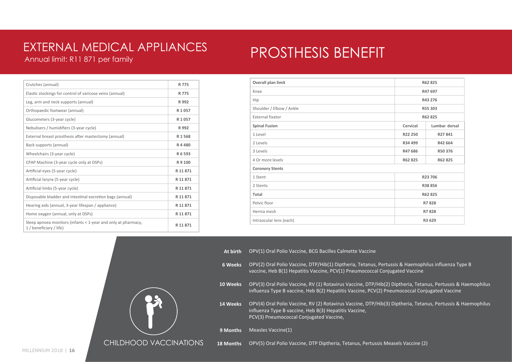# Annual limit: R11 871 per family EXTERNAL MEDICAL APPLIANCES

# PROSTHESIS BENEFIT

| Crutches (annual)                                                                        | R 775    |
|------------------------------------------------------------------------------------------|----------|
| Elastic stockings for control of varicose veins (annual)                                 | R 775    |
| Leg, arm and neck supports (annual)                                                      | R 992    |
| Orthopaedic footwear (annual)                                                            | R 1057   |
| Glucometers (3-year cycle)                                                               | R 1057   |
| Nebulisers / humidifiers (3-year cycle)                                                  | R 992    |
| External breast prosthesis after mastectomy (annual)                                     | R1568    |
| Back supports (annual)                                                                   | R4480    |
| Wheelchairs (3-year cycle)                                                               | R 6 593  |
| CPAP Machine (3-year cycle only at DSPs)                                                 | R 9 100  |
| Artificial eyes (5-year cycle)                                                           | R 11871  |
| Artificial larynx (5-year cycle)                                                         | R 11 871 |
| Artificial limbs (5-year cycle)                                                          | R 11 871 |
| Disposable bladder and intestinal excretion bags (annual)                                | R 11 871 |
| Hearing aids (annual, 3-year lifespan / appliance)                                       | R 11 871 |
| Home oxygen (annual, only at DSPs)                                                       | R 11871  |
| Sleep apnoea monitors (infants < 1-year and only at pharmacy,<br>1 / beneficiary / life) | R 11871  |

CHILDHOOD VACCINATIONS

| Overall plan limit       | R62 825  |               |
|--------------------------|----------|---------------|
| Knee                     | R47 697  |               |
| Hip                      | R43 276  |               |
| Shoulder / Elbow / Ankle | R55 303  |               |
| External fixator         | R62 825  |               |
| <b>Spinal Fusion</b>     | Cervical | Lumbar dorsal |
| 1 Level                  | R22 250  | R27841        |
| 2 Levels                 | R34 499  | R42 664       |
| 3 Levels                 | R47 686  | R50 376       |
| 4 Or more levels         | R62 825  | R62 825       |
| <b>Coronory Stents</b>   |          |               |
| 1 Stent                  | R23 706  |               |
| 2 Stents                 | R38 856  |               |
| <b>Total</b>             | R62 825  |               |
| Pelvic floor             | R7828    |               |
| Hernia mesh              | R7828    |               |
| Intraocular lens (each)  | R3 629   |               |

**At birth** OPV(1) Oral Polio Vaccine, BCG Bacilles Calmette Vaccine

- **6 Weeks** OPV(2) Oral Polio Vaccine, DTP/Hib(1) Diptheria, Tetanus, Pertussis & Haemophilus influenza Type B vaccine, Heb B(1) Hepatitis Vaccine, PCV(1) Pneumococcal Conjugated Vaccine
- **10 Weeks** OPV(3) Oral Polio Vaccine, RV (1) Rotavirus Vaccine, DTP/Hib(2) Diptheria, Tetanus, Pertussis & Haemophilus influenza Type B vaccine, Heb B(2) Hepatitis Vaccine, PCV(2) Pneumococcal Conjugated Vaccine

**14 Weeks** OPV(4) Oral Polio Vaccine, RV (2) Rotavirus Vaccine, DTP/Hib(3) Diptheria, Tetanus, Pertussis & Haemophilus influenza Type B vaccine, Heb B(3) Hepatitis Vaccine, PCV(3) Pneumococcal Conjugated Vaccine,

**9 Months** Measles Vaccine(1)

**18 Months** OPV(5) Oral Polio Vaccine, DTP Diptheria, Tetanus, Pertussis Measels Vaccine (2)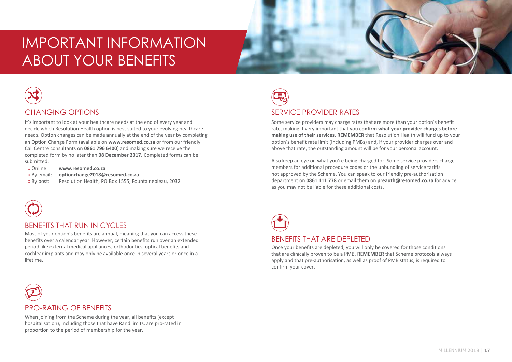# IMPORTANT INFORMATION ABOUT YOUR BENEFITS



# CHANGING OPTIONS

It's important to look at your healthcare needs at the end of every year and decide which Resolution Health option is best suited to your evolving healthcare needs. Option changes can be made annually at the end of the year by completing an Option Change Form (available on **www.resomed.co.za** or from our friendly Call Centre consultants on **0861 796 6400**) and making sure we receive the completed form by no later than **08 December 2017.** Completed forms can be submitted:

- » Online: **www.resomed.co.za**
- » By email: **optionchange2018@resomed.co.za**
- » By post: Resolution Health, PO Box 1555, Fountainebleau, 2032



### BENEFITS THAT RUN IN CYCLES

Most of your option's benefits are annual, meaning that you can access these benefits over a calendar year. However, certain benefits run over an extended period like external medical appliances, orthodontics, optical benefits and cochlear implants and may only be available once in several years or once in a lifetime.



# SERVICE PROVIDER RATES

Some service providers may charge rates that are more than your option's benefit rate, making it very important that you **confirm what your provider charges before making use of their services. REMEMBER** that Resolution Health will fund up to your option's benefit rate limit (including PMBs) and, if your provider charges over and above that rate, the outstanding amount will be for your personal account.

Also keep an eye on what you're being charged for. Some service providers charge members for additional procedure codes or the unbundling of service tariffs not approved by the Scheme. You can speak to our friendly pre-authorisation department on **0861 111 778** or email them on **preauth@resomed.co.za** for advice as you may not be liable for these additional costs.



Once your benefits are depleted, you will only be covered for those conditions that are clinically proven to be a PMB. **REMEMBER** that Scheme protocols always apply and that pre-authorisation, as well as proof of PMB status, is required to confirm your cover.

# **R**

# PRO-RATING OF BENEFITS

hospitalisation), including those that have Rand limits, are pro-rated in<br>proportion to the period of membership for the vear When joining from the Scheme during the year, all benefits (except proportion to the period of membership for the year.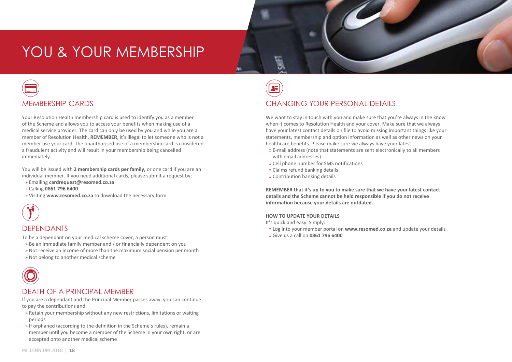# YOU & YOUR MEMBERSHIP



Your Resolution Health membership card is used to identify you as a member of the Scheme and allows you to access your benefits when making use of a medical service provider. The card can only be used by you and while you are a member of Resolution Health. **REMEMBER**, it's illegal to let someone who is not a member use your card. The unauthorised use of a membership card is considered a fraudulent activity and will result in your membership being cancelled immediately.

You will be issued with **2 membership cards per family,** or one card if you are an individual member. If you need additional cards, please submit a request by:

- » Emailing **cardrequest@resomed.co.za**
- » Calling **0861 796 6400**
- » Visiting **www.resomed.co.za** to download the necessary form



### **DEPENDANTS**

To be a dependant on your medical scheme cover, a person must:

- » Be an immediate family member and / or financially dependent on you
- » Not receive an income of more than the maximum social pension per month
- » Not belong to another medical scheme



### DEATH OF A PRINCIPAL MEMBER

If you are a dependant and the Principal Member passes away, you can continue to pay the contributions and:

- » Retain your membership without any new restrictions, limitations or waiting periods
- » If orphaned (according to the definition in the Scheme's rules), remain a member until you become a member of the Scheme in your own right, or are accepted onto another medical scheme

# **IN HOSPITAL PROVIDER'S FEES** CHANGING YOUR PERSONAL DETAILS

We want to stay in touch with you and make sure that you're always in the know when it comes to Resolution Health and your cover. Make sure that we always have your latest contact details on file to avoid missing important things like your statements, membership and option information as well as other news on your healthcare benefits. Please make sure we always have your latest:

- » E-mail address (note that statements are sent electronically to all members with email addresses)
- » Cell phone number for SMS notifications
- » Claims refund banking details
- » Contribution banking details

**REMEMBER that it's up to you to make sure that we have your latest contact details and the Scheme cannot be held responsible if you do not receive information because your details are outdated.** 

#### **HOW TO UPDATE YOUR DETAILS**

It's quick and easy. Simply:

- » Log into your member portal on **www.resomed.co.za** and update your details
- » Give us a call on **0861 796 6400**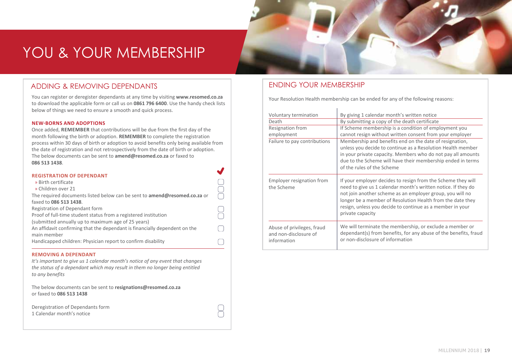# YOU & YOUR MEMBERSHIP

# ADDING & REMOVING DEPENDANTS

You can register or deregister dependants at any time by visiting **www.resomed.co.za** to download the applicable form or call us on **0861 796 6400**. Use the handy check lists below of things we need to ensure a smooth and quick process.

#### **NEW-BORNS AND ADOPTIONS**

Once added, **REMEMBER** that contributions will be due from the first day of the month following the birth or adoption. **REMEMBER** to complete the registration process within 30 days of birth or adoption to avoid benefits only being available from the date of registration and not retrospectively from the date of birth or adoption. The below documents can be sent to **amend@resomed.co.za** or faxed to **086 513 1438**.

 $\blacksquare$ 

 $\sqrt{2}$ 

| <b>REGISTRATION OF DEPENDANT</b>                                                 |  |
|----------------------------------------------------------------------------------|--|
| » Birth certificate                                                              |  |
| » Children over 21                                                               |  |
|                                                                                  |  |
| The required documents listed below can be sent to <b>amend@resomed.co.za</b> or |  |
| faxed to 086 513 1438.                                                           |  |
| Registration of Dependant form                                                   |  |
| Proof of full-time student status from a registered institution                  |  |
| (submitted annually up to maximum age of 25 years)                               |  |
| An affidavit confirming that the dependant is financially dependent on the       |  |
| main member                                                                      |  |
| Handicapped children: Physician report to confirm disability                     |  |
|                                                                                  |  |

#### **REMOVING A DEPENDANT**

*It's important to give us 1 calendar month's notice of any event that changes the status of a dependant which may result in them no longer being entitled to any benefits* 

The below documents can be sent to **resignations@resomed.co.za** or faxed to **086 513 1438** 

| Deregistration of Dependants form |
|-----------------------------------|
| 1 Calendar month's notice         |

# ENDING YOUR MEMBERSHIP

Your Resolution Health membership can be ended for any of the following reasons:

| Voluntary termination<br>Death<br>Resignation from<br>employment<br>Failure to pay contributions | By giving 1 calendar month's written notice<br>By submitting a copy of the death certificate<br>If Scheme membership is a condition of employment you<br>cannot resign without written consent from your employer<br>Membership and benefits end on the date of resignation,<br>unless you decide to continue as a Resolution Health member<br>in your private capacity. Members who do not pay all amounts<br>due to the Scheme will have their membership ended in terms<br>of the rules of the Scheme |
|--------------------------------------------------------------------------------------------------|----------------------------------------------------------------------------------------------------------------------------------------------------------------------------------------------------------------------------------------------------------------------------------------------------------------------------------------------------------------------------------------------------------------------------------------------------------------------------------------------------------|
| Employer resignation from<br>the Scheme                                                          | If your employer decides to resign from the Scheme they will<br>need to give us 1 calendar month's written notice. If they do<br>not join another scheme as an employer group, you will no<br>longer be a member of Resolution Health from the date they<br>resign, unless you decide to continue as a member in your<br>private capacity                                                                                                                                                                |
| Abuse of privileges, fraud<br>and non-disclosure of<br>information                               | We will terminate the membership, or exclude a member or<br>dependant(s) from benefits, for any abuse of the benefits, fraud<br>or non-disclosure of information                                                                                                                                                                                                                                                                                                                                         |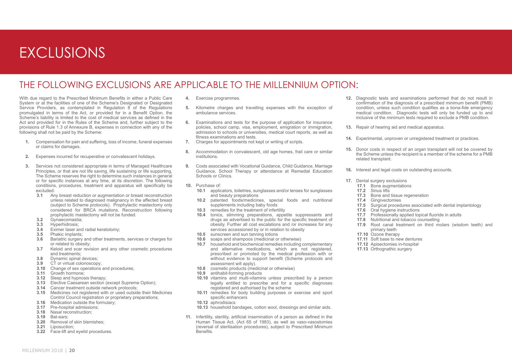# EXCLUSIONS

# THE FOLLOWING EXCLUSIONS ARE APPLICABLE TO THE MILLENNIUM OPTION:

With due regard to the Prescribed Minimum Benefits in either a Public Care System or at the facilities of one of the Scheme's Designated or Designated Service Providers, as contemplated in Regulation 8 of the Regulations promulgated in terms of the Act, or provided for in a Benefit Option, the Scheme's liability is limited to the cost of medical services as defined in the Act and provided for in the Rules of the Scheme and, further subject to the provisions of Rule 1.3 of Annexure B, expenses in connection with any of the following shall not be paid by the Scheme:

- **1.** Compensation for pain and suffering, loss of income, funeral expenses or claims for damages.
- **2.** Expenses incurred for recuperative or convalescent holidays.
- **3.** Services not considered appropriate in terms of Managed Healthcare Principles, or that are not life saving, life sustaining or life supporting, The Scheme reserves the right to determine such instances in general or for specific instances at any time, at its discretion. The following conditions, procedures, treatment and apparatus will specifically be excluded:
	- **3.1** Any breast reduction or augmentation or breast reconstruction unless related to diagnosed malignancy in the affected breast (subject to Scheme protocols). Prophylactic mastectomy only considered for BRCA mutations. Reconstruction following prophylactic mastectomy will not be funded.
	- **3.2** Gynaecomastia;
	- **3.3** Hyperhidrosis;<br>**3.4** Eximer laser at
	- **3.4** Eximer laser and radial keratotomy;<br>**3.5** Phakic implants:
	- **3.5** Phakic implants;<br>**3.6** Bariatric surgery
	- **3.6** Bariatric surgery and other treatments, services or charges for or related to obesity;
	- **3.7** Keloid and scar revision and any other cosmetic procedures and treatments;
	- **3.8** Dynamic spinal devices;<br>**3.9** CT or virtual colonoscopy
	- **3.9** CT or virtual colonoscopy;
	- **3.10** Change of sex operations and procedures;
	- **3.11** Growth hormone;
	- **3.12** Sleep and hypnosis therapy;
	- **3.13** Elective Caesarean section (except Supreme Option);
	- **3.14** Cancer treatment outside network protocols;
	- **3.15** Medicines not registered with or used outside their Medicines Control Council registration or proprietary preparations:
	- **3.16** Medication outside the formulary;
	- **3.17** Pre-hospital admissions;
	- **3.18** Nasal reconstruction;
	- **3.19** Bat-ears;
	- **3.20** Removal of skin blemishes;
	- **3.21** Liposuction;
	- **3.22** Face-lift and eyelid procedures.
- **4.** Exercise programmes.
- **5.** Kilometre charges and travelling expenses with the exception of ambulance services.
- **6.** Examinations and tests for the purpose of application for insurance policies, school camp, visa, employment, emigration or immigration, admission to schools or universities, medical court reports, as well as fitness examinations and tests.
- **7.** Charges for appointments not kept or writing of scripts.
- **8.** Accommodation in convalescent, old age homes, frail care or similar institutions.
- **9.** Costs associated with Vocational Guidance, Child Guidance, Marriage Guidance, School Therapy or attendance at Remedial Education Schools or Clinics.
- **10.** Purchase of:
	- **10.1** applicators, toiletries, sunglasses and/or lenses for sunglasses and beauty preparations
	- **10.2** patented foods/medicines, special foods and nutritional supplements including baby foods
	- **10.3** remedies for the treatment of infertility
	- **10.4** tonics, slimming preparations, appetite suppressants and drugs as advertised to the public for the specific treatment of obesity. Further all cost escalations and /or increases for any services accessioned by or in relation to obesity
	- **10.5** sunscreen and sun tanning lotions
	- **10.6** soaps and shampoos (medicinal or otherwise)
	- **10.7** household and biochemical remedies including complementary and alternative medications, which are not registered, prescribed or promoted by the medical profession with or without evidence to support benefit (Scheme protocols and assessment will apply).
	- **10.8** cosmetic products (medicinal or otherwise)
	- **10.9** antihabit-forming products
	- **10.10** vitamins and multi-vitamins unless prescribed by a person legally entitled to prescribe and for a specific diagnoses registered and authorised by the scheme
	- **10.11** remedies for body building purposes or exercise and sport specific enhancers
	- **10.12** aphrodisiacs
	- **10.13** household bandages, cotton wool, dressings and similar aids.
- **11.** Infertility, sterility, artificial insemination of a person as defined in the Human Tissue Act, (Act 65 of 1983), as well as vaso-vasostomies (reversal of sterilisation procedures), subject to Prescribed Minimum Benefits.
- **12.** Diagnostic tests and examinations performed that do not result in confirmation of the diagnosis of a prescribed minimum benefit (PMB) condition, unless such condition qualifies as a bona-fide emergency medical condition. Diagnostic tests will only be funded up to and inclusive of the minimum tests required to exclude a PMB condition.
- **13.** Repair of hearing aid and medical apparatus.
- **14.** Experimental, unproven or unregistered treatment or practices.
- **15.** Donor costs in respect of an organ transplant will not be covered by the Scheme unless the recipient is a member of the scheme for a PMB related transplant.
- **16.** Interest and legal costs on outstanding accounts.
- **17.** Dental surgery exclusions
	- **17.1** Bone augmentations
	- **17.2** Sinus lifts
	- **17.3** Bone and tissue regeneration
	- **17.4 Gingivectomies**<br>**17.5 Surgical proced**
	- **17.5** Surgical procedures associated with dental implantology
	- **17.6** Oral hygiene instructions
	- **17.7** Professionally applied topical fluoride in adults **17.8** Nutritional and tobacco counselling
	- **17.8** Nutritional and tobacco counselling
	- **17.9** Root canal treatment on third molars (wisdom teeth) and primary teeth
	- **17.10** Ozone therapy
	- **17.11** Soft base to new dentures
	- **17.12** Apisectomies in-hospital
	- **17.13** Orthognathic surgery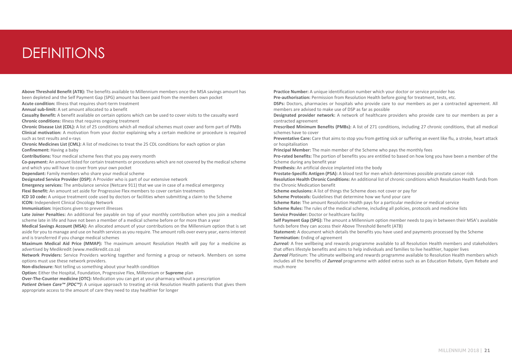# DEFINITIONS

**Above Threshold Benefit (ATB):** The benefits available to Millennium members once the MSA savings amount has been depleted and the Self Payment Gap (SPG) amount has been paid from the members own pocket

**Acute condition:** Illness that requires short-term treatment

**Annual sub-limit:** A set amount allocated to a benefit

**Casualty Benefit:** A benefit available on certain options which can be used to cover visits to the casualty ward **Chronic conditions:** Illness that requires ongoing treatment

**Chronic Disease List (CDL):** A list of 25 conditions which all medical schemes must cover and form part of PMBs **Clinical motivation:** A motivation from your doctor explaining why a certain medicine or procedure is required such as test results and x-rays

**Chronic Medicines List (CML):** A list of medicines to treat the 25 CDL conditions for each option or plan **Confinement:** Having a baby

**Contributions:** Your medical scheme fees that you pay every month

**Co-payment:** An amount listed for certain treatments or procedures which are not covered by the medical scheme and which you will have to cover from your own pocket

**Dependant:** Family members who share your medical scheme

**Designated Service Provider (DSP):** A Provider who is part of our extensive network

**Emergency services:** The ambulance service (Netcare 911) that we use in case of a medical emergency **Flexi Benefit:** An amount set aside for Progressive Flex members to cover certain treatments

**ICD 10 code:** A unique treatment code used by doctors or facilities when submitting a claim to the Scheme **ICON:** Independent Clinical Oncology Network

**Immunisation:** Injections given to prevent illnesses

**Late Joiner Penalties:** An additional fee payable on top of your monthly contribution when you join a medical scheme late in life and have not been a member of a medical scheme before or for more than a year

**Medical Savings Account (MSA):** An allocated amount of your contributions on the Millennium option that is set aside for you to manage and use on health services as you require. The amount rolls over every year, earns interest and is transferred if you change medical schemes

**Maximum Medical Aid Price (MMAP):** The maximum amount Resolution Health will pay for a medicine as advertised by Medikredit (www.medikredit.co.za)

**Network Providers:** Service Providers working together and forming a group or network. Members on some options must use these network providers.

**Non-disclosure:** Not telling us something about your health condition

**Option:** Either the Hospital, Foundation, Progressive Flex, Millennium or **Supreme** plan

**Over-The-Counter medicine (OTC):** Medication you can get at your pharmacy without a prescription

*Patient Driven Care™ (PDC™)*: A unique approach to treating at-risk Resolution Health patients that gives them appropriate access to the amount of care they need to stay healthier for longer

**Practice Number:** A unique identification number which your doctor or service provider has

**Pre-authorisation:** Permission from Resolution Health before going for treatment, tests, etc.

**DSPs:** Doctors, pharmacies or hospitals who provide care to our members as per a contracted agreement. All members are advised to make use of DSP as far as possible

**Designated provider network:** A network of healthcare providers who provide care to our members as per a contracted agreement

**Prescribed Minimum Benefits (PMBs):** A list of 271 conditions, including 27 chronic conditions, that all medical schemes have to cover

**Preventative Care:** Care that aims to stop you from getting sick or suffering an event like flu, a stroke, heart attack or hospitalisation

**Principal Member:** The main member of the Scheme who pays the monthly fees

**Pro-rated benefits:** The portion of benefits you are entitled to based on how long you have been a member of the Scheme during any benefit year

**Prosthesis:** An artificial device implanted into the body

**Prostate-Specific Antigen (PSA):** A blood test for men which determines possible prostate cancer risk

**Resolution Health Chronic Conditions:** An additional list of chronic conditions which Resolution Health funds from the Chronic Medication benefit

**Scheme exclusions:** A list of things the Scheme does not cover or pay for

**Scheme Protocols:** Guidelines that determine how we fund your care

**Scheme Rate:** The amount Resolution Health pays for a particular medicine or medical service

**Scheme Rules:** The rules of the medical scheme, including all policies, protocols and medicine lists

**Service Provider:** Doctor or healthcare facility

**Self Payment Gap (SPG):** The amount a Millennium option member needs to pay in between their MSA's available funds before they can access their Above Threshold Benefit (ATB)

**Statement:** A document which details the benefits you have used and payments processed by the Scheme **Termination:** Ending of agreement

*Zurreal:* A free wellbeing and rewards programme available to all Resolution Health members and stakeholders that offers lifestyle benefits and aims to help individuals and families to live healthier, happier lives

*Zurreal Platinum*: The ultimate wellbeing and rewards programme available to Resolution Health members which includes all the benefits of *Zurreal* programme with added extras such as an Education Rebate, Gym Rebate and much more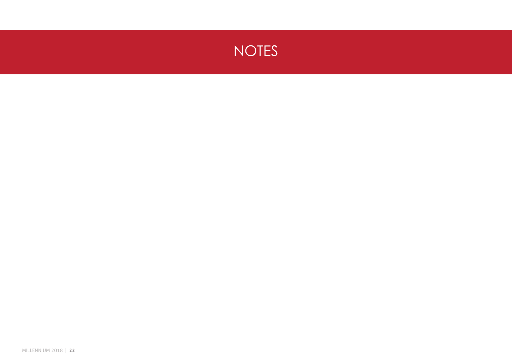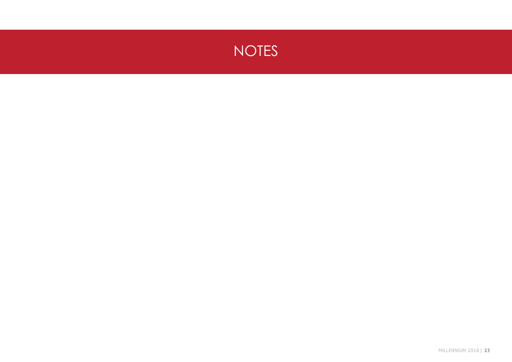